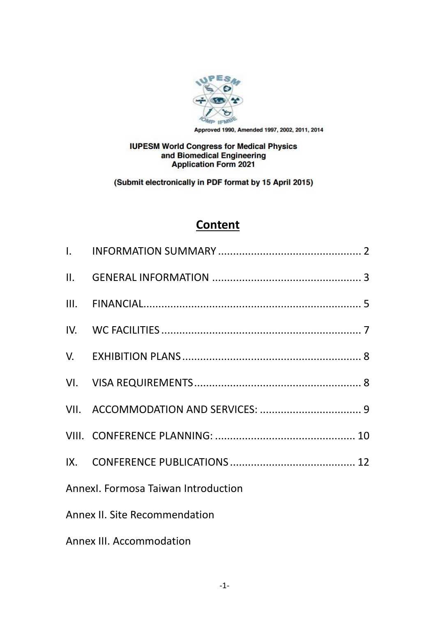

Approved 1990, Amended 1997, 2002, 2011, 2014

#### **IUPESM World Congress for Medical Physics** and Biomedical Engineering **Application Form 2021**

(Submit electronically in PDF format by 15 April 2015)

# **Content**

| Annexl. Formosa Taiwan Introduction |  |
|-------------------------------------|--|
| Annex II. Site Recommendation       |  |

Annex III. Accommodation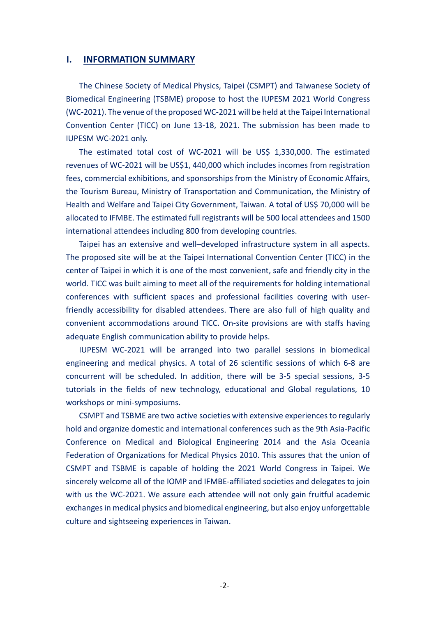#### <span id="page-1-0"></span>**I. INFORMATION SUMMARY**

The Chinese Society of Medical Physics, Taipei (CSMPT) and Taiwanese Society of Biomedical Engineering (TSBME) propose to host the IUPESM 2021 World Congress (WC-2021). The venue of the proposed WC-2021 will be held atthe Taipei International Convention Center (TICC) on June 13-18, 2021. The submission has been made to IUPESM WC-2021 only.

The estimated total cost of WC-2021 will be US\$ 1,330,000. The estimated revenues of WC-2021 will be US\$1, 440,000 which includes incomes from registration fees, commercial exhibitions, and sponsorships from the Ministry of Economic Affairs, the Tourism Bureau, Ministry of Transportation and Communication, the Ministry of Health and Welfare and Taipei City Government, Taiwan. A total of US\$ 70,000 will be allocated to IFMBE. The estimated full registrants will be 500 local attendees and 1500 international attendees including 800 from developing countries.

Taipei has an extensive and well–developed infrastructure system in all aspects. The proposed site will be at the Taipei International Convention Center (TICC) in the center of Taipei in which it is one of the most convenient, safe and friendly city in the world. TICC was built aiming to meet all of the requirements for holding international conferences with sufficient spaces and professional facilities covering with userfriendly accessibility for disabled attendees. There are also full of high quality and convenient accommodations around TICC. On-site provisions are with staffs having adequate English communication ability to provide helps.

IUPESM WC-2021 will be arranged into two parallel sessions in biomedical engineering and medical physics. A total of 26 scientific sessions of which 6-8 are concurrent will be scheduled. In addition, there will be 3-5 special sessions, 3-5 tutorials in the fields of new technology, educational and Global regulations, 10 workshops or mini-symposiums.

CSMPT and TSBME are two active societies with extensive experiences to regularly hold and organize domestic and international conferences such as the 9th Asia-Pacific Conference on Medical and Biological Engineering 2014 and the Asia Oceania Federation of Organizations for Medical Physics 2010. This assures that the union of CSMPT and TSBME is capable of holding the 2021 World Congress in Taipei. We sincerely welcome all of the IOMP and IFMBE-affiliated societies and delegates to join with us the WC-2021. We assure each attendee will not only gain fruitful academic exchanges in medical physics and biomedical engineering, but also enjoy unforgettable culture and sightseeing experiences in Taiwan.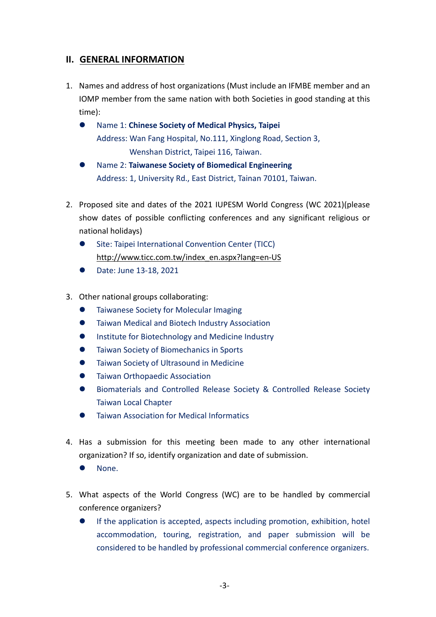### <span id="page-2-0"></span>**II. GENERAL INFORMATION**

- 1. Names and address of host organizations (Must include an IFMBE member and an IOMP member from the same nation with both Societies in good standing at this time):
	- Name 1: **Chinese Society of Medical Physics, Taipei** Address: Wan Fang Hospital, No.111, Xinglong Road, Section 3, Wenshan District, Taipei 116, Taiwan.
	- Name 2: **Taiwanese Society of Biomedical Engineering** Address: 1, University Rd., East District, Tainan 70101, Taiwan.
- 2. Proposed site and dates of the 2021 IUPESM World Congress (WC 2021)(please show dates of possible conflicting conferences and any significant religious or national holidays)
	- **Site: Taipei International Convention Center (TICC)** [http://www.ticc.com.tw/index\\_en.aspx?lang=en-US](http://www.ticc.com.tw/index_en.aspx?lang=en-US)
	- Date: June 13-18, 2021
- 3. Other national groups collaborating:
	- **Taiwanese Society for Molecular Imaging**
	- **Taiwan Medical and Biotech Industry Association**
	- **•** Institute for Biotechnology and Medicine Industry
	- **Taiwan Society of Biomechanics in Sports**
	- Taiwan Society of Ultrasound in Medicine
	- **•** Taiwan Orthopaedic Association
	- Biomaterials and Controlled Release Society & Controlled Release Society Taiwan Local Chapter
	- Taiwan Association for Medical Informatics
- 4. Has a submission for this meeting been made to any other international organization? If so, identify organization and date of submission.
	- None.
- 5. What aspects of the World Congress (WC) are to be handled by commercial conference organizers?
	- If the application is accepted, aspects including promotion, exhibition, hotel accommodation, touring, registration, and paper submission will be considered to be handled by professional commercial conference organizers.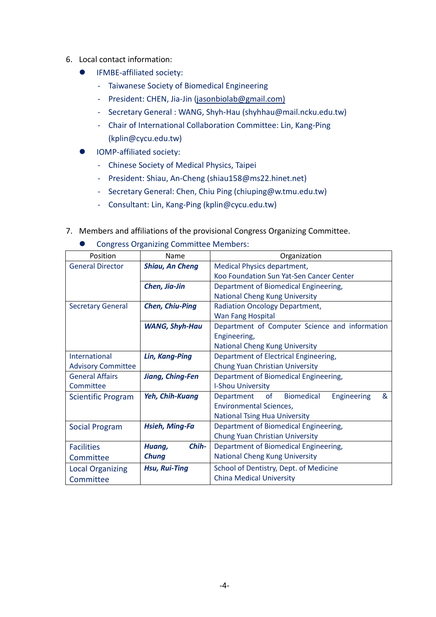- 6. Local contact information:
	- **IFMBE-affiliated society:** 
		- Taiwanese Society of Biomedical Engineering
		- President: CHEN, Jia-Jin (jasonbiolab@gmail.com)
		- Secretary General : WANG, Shyh-Hau (shyhhau@mail.ncku.edu.tw)
		- Chair of International Collaboration Committee: Lin, Kang-Ping (kplin@cycu.edu.tw)
	- IOMP-affiliated society:
		- Chinese Society of Medical Physics, Taipei
		- President: Shiau, An-Cheng (shiau158@ms22.hinet.net)
		- Secretary General: Chen, Chiu Ping (chiuping@w.tmu.edu.tw)
		- Consultant: Lin, Kang-Ping (kplin@cycu.edu.tw)
- 7. Members and affiliations of the provisional Congress Organizing Committee.

|  | <b>Congress Organizing Committee Members:</b> |
|--|-----------------------------------------------|
|--|-----------------------------------------------|

| Position                  | Name                                                           | Organization                                              |
|---------------------------|----------------------------------------------------------------|-----------------------------------------------------------|
| <b>General Director</b>   | <b>Shiau, An Cheng</b>                                         | Medical Physics department,                               |
|                           |                                                                | Koo Foundation Sun Yat-Sen Cancer Center                  |
|                           | Chen, Jia-Jin                                                  | Department of Biomedical Engineering,                     |
|                           |                                                                | <b>National Cheng Kung University</b>                     |
| <b>Secretary General</b>  | <b>Chen, Chiu-Ping</b>                                         | <b>Radiation Oncology Department,</b>                     |
|                           |                                                                | <b>Wan Fang Hospital</b>                                  |
|                           | <b>WANG, Shyh-Hau</b>                                          | Department of Computer Science and information            |
|                           |                                                                | Engineering,                                              |
|                           |                                                                | <b>National Cheng Kung University</b>                     |
| International             | <b>Lin, Kang-Ping</b><br>Department of Electrical Engineering, |                                                           |
| <b>Advisory Committee</b> | Chung Yuan Christian University                                |                                                           |
| <b>General Affairs</b>    | Jiang, Ching-Fen<br>Department of Biomedical Engineering,      |                                                           |
| Committee                 | <b>I-Shou University</b>                                       |                                                           |
| <b>Scientific Program</b> | Yeh, Chih-Kuang                                                | &<br><b>Biomedical</b><br>Engineering<br>Department<br>0f |
|                           |                                                                | <b>Environmental Sciences,</b>                            |
|                           |                                                                | <b>National Tsing Hua University</b>                      |
| Social Program            | <b>Hsieh, Ming-Fa</b>                                          | Department of Biomedical Engineering,                     |
|                           |                                                                | Chung Yuan Christian University                           |
| <b>Facilities</b>         | Chih-<br>Huang,                                                | Department of Biomedical Engineering,                     |
| Committee                 | <b>Chung</b>                                                   | National Cheng Kung University                            |
| <b>Local Organizing</b>   | <b>Hsu, Rui-Ting</b>                                           | School of Dentistry, Dept. of Medicine                    |
| Committee                 |                                                                | <b>China Medical University</b>                           |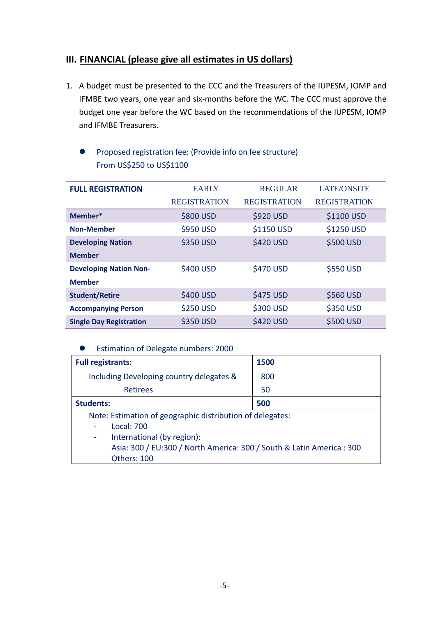## <span id="page-4-0"></span>**III. FINANCIAL (please give all estimates in US dollars)**

1. A budget must be presented to the CCC and the Treasurers of the IUPESM, IOMP and IFMBE two years, one year and six-months before the WC. The CCC must approve the budget one year before the WC based on the recommendations of the IUPESM, IOMP and IFMBE Treasurers.

# Proposed registration fee: (Provide info on fee structure) From US\$250 to US\$1100

| <b>FULL REGISTRATION</b>       | <b>EARLY</b>        | <b>REGULAR</b>      | <b>LATE/ONSITE</b>  |
|--------------------------------|---------------------|---------------------|---------------------|
|                                | <b>REGISTRATION</b> | <b>REGISTRATION</b> | <b>REGISTRATION</b> |
| Member*                        | \$800 USD           | \$920 USD           | \$1100 USD          |
| <b>Non-Member</b>              | \$950 USD           | \$1150 USD          | \$1250 USD          |
| <b>Developing Nation</b>       | \$350 USD           | \$420 USD           | \$500 USD           |
| <b>Member</b>                  |                     |                     |                     |
| <b>Developing Nation Non-</b>  | \$400 USD           | <b>\$470 USD</b>    | \$550 USD           |
| <b>Member</b>                  |                     |                     |                     |
| <b>Student/Retire</b>          | \$400 USD           | \$475 USD           | \$560 USD           |
| <b>Accompanying Person</b>     | \$250 USD           | \$300 USD           | \$350 USD           |
| <b>Single Day Registration</b> | \$350 USD           | \$420 USD           | \$500 USD           |

### ● Estimation of Delegate numbers: 2000

| <b>Full registrants:</b>                 | 1500 |
|------------------------------------------|------|
| Including Developing country delegates & | 800  |
| Retirees                                 | 50   |
| <b>Students:</b>                         | 500  |

Note: Estimation of geographic distribution of delegates:

- Local: 700

International (by region): Asia: 300 / EU:300 / North America: 300 / South & Latin America : 300 Others: 100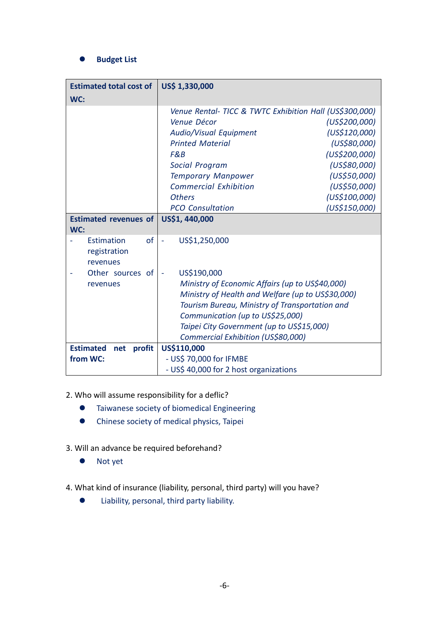#### **Budget List**

| <b>Estimated total cost of</b>               | US\$ 1,330,000                                          |               |
|----------------------------------------------|---------------------------------------------------------|---------------|
| WC:                                          |                                                         |               |
|                                              | Venue Rental- TICC & TWTC Exhibition Hall (US\$300,000) |               |
|                                              | Venue Décor                                             | (US\$200,000) |
|                                              | Audio/Visual Equipment                                  | (US\$120,000) |
|                                              | <b>Printed Material</b>                                 | (US\$80,000)  |
|                                              | F&B                                                     | (US\$200,000) |
|                                              | Social Program                                          | (US\$80,000)  |
|                                              | <b>Temporary Manpower</b>                               | (US\$50,000)  |
|                                              | <b>Commercial Exhibition</b>                            | (US\$50,000)  |
|                                              | <b>Others</b>                                           | (US\$100,000) |
|                                              | <b>PCO Consultation</b>                                 | (US\$150,000) |
| <b>Estimated revenues of</b>                 | US\$1, 440,000                                          |               |
| WC:                                          |                                                         |               |
| of<br>Estimation<br>registration<br>revenues | US\$1,250,000                                           |               |
| Other sources of                             | US\$190,000                                             |               |
| revenues                                     | Ministry of Economic Affairs (up to US\$40,000)         |               |
|                                              | Ministry of Health and Welfare (up to US\$30,000)       |               |
|                                              | Tourism Bureau, Ministry of Transportation and          |               |
|                                              | Communication (up to US\$25,000)                        |               |
|                                              | Taipei City Government (up to US\$15,000)               |               |
|                                              | Commercial Exhibition (US\$80,000)                      |               |
| <b>Estimated</b><br>net<br>profit            | US\$110,000                                             |               |
| from WC:                                     | - US\$ 70,000 for IFMBE                                 |               |
|                                              | - US\$ 40,000 for 2 host organizations                  |               |

#### 2. Who will assume responsibility for a deflic?

- **•** Taiwanese society of biomedical Engineering
- Chinese society of medical physics, Taipei
- 3. Will an advance be required beforehand?
	- Not yet
- 4. What kind of insurance (liability, personal, third party) will you have?
	- Liability, personal, third party liability.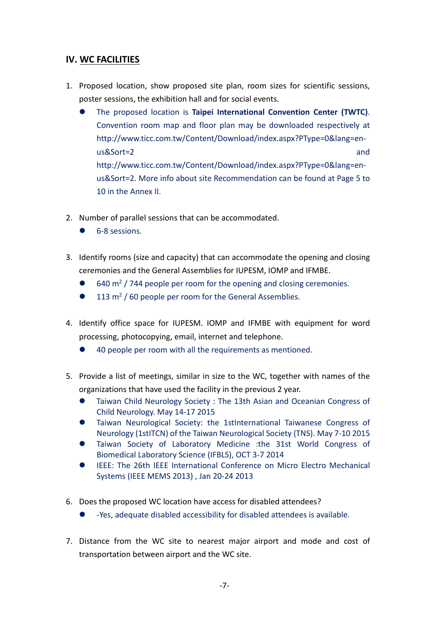### <span id="page-6-0"></span>**IV. WC FACILITIES**

- 1. Proposed location, show proposed site plan, room sizes for scientific sessions, poster sessions, the exhibition hall and for social events.
	- The proposed location is **Taipei International Convention Center (TWTC)**. Convention room map and floor plan may be downloaded respectively at http://www.ticc.com.tw/Content/Download/index.aspx?PType=0&lang=enus&Sort=2 and http://www.ticc.com.tw/Content/Download/index.aspx?PType=0&lang=enus&Sort=2. More info about site Recommendation can be found at Page 5 to 10 in the Annex II.
- 2. Number of parallel sessions that can be accommodated.
	- 6-8 sessions.
- 3. Identify rooms (size and capacity) that can accommodate the opening and closing ceremonies and the General Assemblies for IUPESM, IOMP and IFMBE.
	- 640 m<sup>2</sup> / 744 people per room for the opening and closing ceremonies.
	- 113 m<sup>2</sup> / 60 people per room for the General Assemblies.
- 4. Identify office space for IUPESM. IOMP and IFMBE with equipment for word processing, photocopying, email, internet and telephone.
	- 40 people per room with all the requirements as mentioned.
- 5. Provide a list of meetings, similar in size to the WC, together with names of the organizations that have used the facility in the previous 2 year.
	- [Taiwan Child Neurology Society](http://www.tcns.org.tw/) : The 13th Asian and Oceanian Congress of Child Neurology. May 14-17 2015
	- Taiwan Neurological Society: the 1stInternational Taiwanese Congress of Neurology (1stITCN) of the Taiwan Neurological Society (TNS). May 7-10 2015
	- Taiwan Society of Laboratory Medicine :the 31st World Congress of Biomedical Laboratory Science (IFBLS), OCT 3-7 2014
	- IEEE: The 26th IEEE International Conference on Micro Electro Mechanical Systems (IEEE MEMS 2013) , Jan 20-24 2013
- 6. Does the proposed WC location have access for disabled attendees?
	- -Yes, adequate disabled accessibility for disabled attendees is available.
- 7. Distance from the WC site to nearest major airport and mode and cost of transportation between airport and the WC site.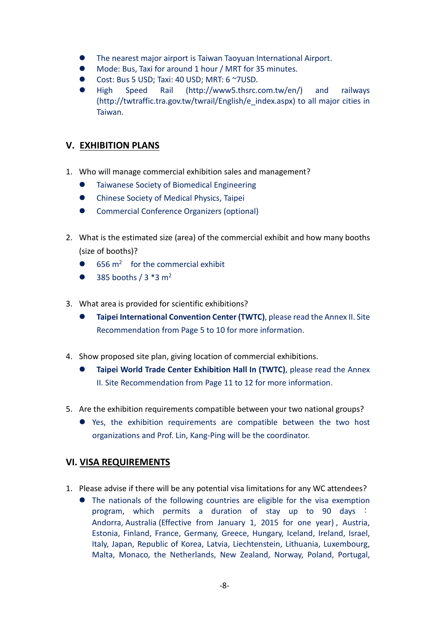- The nearest major airport is Taiwan Taoyuan International Airport.
- Mode: Bus, Taxi for around 1 hour / MRT for 35 minutes.
- Cost: Bus 5 USD; Taxi: 40 USD; MRT: 6 ~7USD.
- High Speed Rail (http://www5.thsrc.com.tw/en/) and railways (http://twtraffic.tra.gov.tw/twrail/English/e\_index.aspx) to all major cities in Taiwan.

### <span id="page-7-0"></span>**V. EXHIBITION PLANS**

- 1. Who will manage commercial exhibition sales and management?
	- Taiwanese Society of Biomedical Engineering
	- **•** Chinese Society of Medical Physics, Taipei
	- **•** Commercial Conference Organizers (optional)
- 2. What is the estimated size (area) of the commercial exhibit and how many booths (size of booths)?
	- 656  $m^2$  for the commercial exhibit
	- $\bullet$  385 booths / 3  $*$ 3 m<sup>2</sup>
- 3. What area is provided for scientific exhibitions?
	- **Taipei International Convention Center (TWTC)**, please read the Annex II. Site Recommendation from Page 5 to 10 for more information.
- 4. Show proposed site plan, giving location of commercial exhibitions.
	- **Taipei World Trade Center Exhibition Hall In (TWTC)**, please read the Annex II. Site Recommendation from Page 11 to 12 for more information.
- 5. Are the exhibition requirements compatible between your two national groups?
	- Yes, the exhibition requirements are compatible between the two host organizations and Prof. Lin, Kang-Ping will be the coordinator.

### <span id="page-7-1"></span>**VI. VISA REQUIREMENTS**

- 1. Please advise if there will be any potential visa limitations for any WC attendees?
	- The nationals of the following countries are eligible for the visa exemption program, which permits a duration of stay up to 90 days : Andorra, Australia (Effective from January 1, 2015 for one year) , Austria, Estonia, Finland, France, Germany, Greece, Hungary, Iceland, Ireland, Israel, Italy, Japan, Republic of Korea, Latvia, Liechtenstein, Lithuania, Luxembourg, Malta, Monaco, the Netherlands, New Zealand, Norway, Poland, Portugal,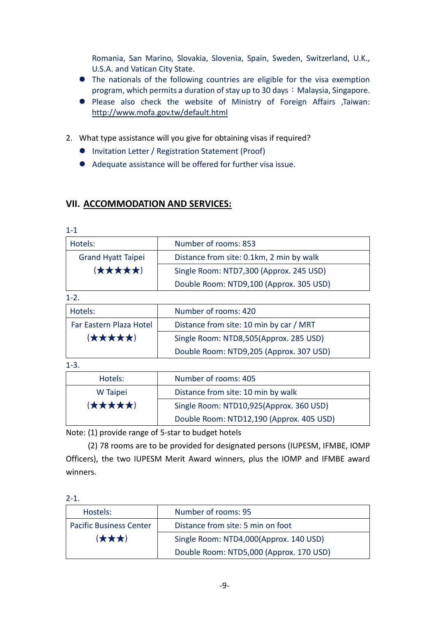Romania, San Marino, Slovakia, Slovenia, Spain, Sweden, Switzerland, U.K., U.S.A. and Vatican City State.

- The nationals of the following countries are eligible for the visa exemption program, which permits a duration of stay up to 30 days: Malaysia, Singapore.
- Please also check the website of Ministry of Foreign Affairs ,Taiwan: <http://www.mofa.gov.tw/default.html>
- 2. What type assistance will you give for obtaining visas if required?
	- **Invitation Letter / Registration Statement (Proof)**
	- Adequate assistance will be offered for further visa issue.

### <span id="page-8-0"></span>**VII. ACCOMMODATION AND SERVICES:**

| Hotels:                   | Number of rooms: 853                     |
|---------------------------|------------------------------------------|
| <b>Grand Hyatt Taipei</b> | Distance from site: 0.1km, 2 min by walk |
| (★★★★★)                   | Single Room: NTD7,300 (Approx. 245 USD)  |
|                           | Double Room: NTD9,100 (Approx. 305 USD)  |
|                           |                                          |

1-2.

| Hotels:                 | Number of rooms: 420                    |
|-------------------------|-----------------------------------------|
| Far Eastern Plaza Hotel | Distance from site: 10 min by car / MRT |
| (★★★★★)                 | Single Room: NTD8,505(Approx. 285 USD)  |
|                         | Double Room: NTD9,205 (Approx. 307 USD) |

1-3.

| Hotels:  | Number of rooms: 405                     |
|----------|------------------------------------------|
| W Taipei | Distance from site: 10 min by walk       |
| (★★★★★)  | Single Room: NTD10,925(Approx. 360 USD)  |
|          | Double Room: NTD12,190 (Approx. 405 USD) |

Note: (1) provide range of 5-star to budget hotels

 (2) 78 rooms are to be provided for designated persons (IUPESM, IFMBE, IOMP Officers), the two IUPESM Merit Award winners, plus the IOMP and IFMBE award winners.

#### 2-1.

| Hostels:                       | Number of rooms: 95                     |
|--------------------------------|-----------------------------------------|
| <b>Pacific Business Center</b> | Distance from site: 5 min on foot       |
| $(\bigstar \bigstar \bigstar)$ | Single Room: NTD4,000(Approx. 140 USD)  |
|                                | Double Room: NTD5,000 (Approx. 170 USD) |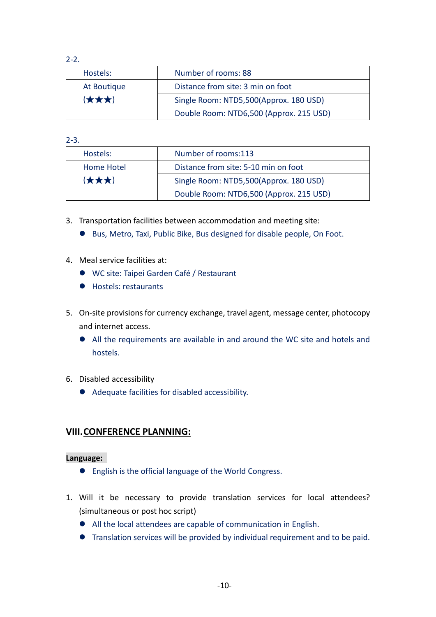2-2.

| Hostels:    | Number of rooms: 88                     |
|-------------|-----------------------------------------|
| At Boutique | Distance from site: 3 min on foot       |
| (大大大)       | Single Room: NTD5,500(Approx. 180 USD)  |
|             | Double Room: NTD6,500 (Approx. 215 USD) |

2-3.

| Hostels:   | Number of rooms:113                     |
|------------|-----------------------------------------|
| Home Hotel | Distance from site: 5-10 min on foot    |
| (大大大)      | Single Room: NTD5,500(Approx. 180 USD)  |
|            | Double Room: NTD6,500 (Approx. 215 USD) |

- 3. Transportation facilities between accommodation and meeting site:
	- Bus, Metro, Taxi, Public Bike, Bus designed for disable people, On Foot.
- 4. Meal service facilities at:
	- WC site: Taipei Garden Café / Restaurant
	- Hostels: restaurants
- 5. On-site provisions for currency exchange, travel agent, message center, photocopy and internet access.
	- All the requirements are available in and around the WC site and hotels and hostels.
- 6. Disabled accessibility
	- Adequate facilities for disabled accessibility.

### <span id="page-9-0"></span>**VIII.CONFERENCE PLANNING:**

#### **Language:**

- English is the official language of the World Congress.
- 1. Will it be necessary to provide translation services for local attendees? (simultaneous or post hoc script)
	- All the local attendees are capable of communication in English.
	- Translation services will be provided by individual requirement and to be paid.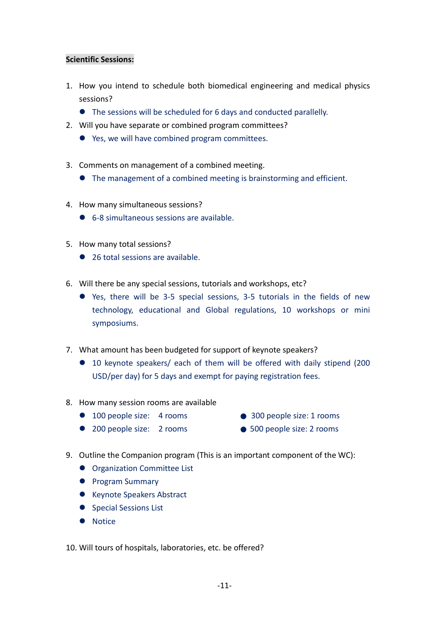#### **Scientific Sessions:**

- 1. How you intend to schedule both biomedical engineering and medical physics sessions?
	- The sessions will be scheduled for 6 days and conducted parallelly.
- 2. Will you have separate or combined program committees?
	- Yes, we will have combined program committees.
- 3. Comments on management of a combined meeting.
	- The management of a combined meeting is brainstorming and efficient.
- 4. How many simultaneous sessions?
	- 6-8 simultaneous sessions are available.
- 5. How many total sessions?
	- 26 total sessions are available.
- 6. Will there be any special sessions, tutorials and workshops, etc?
	- Yes, there will be 3-5 special sessions, 3-5 tutorials in the fields of new technology, educational and Global regulations, 10 workshops or mini symposiums.
- 7. What amount has been budgeted for support of keynote speakers?
	- 10 keynote speakers/ each of them will be offered with daily stipend (200 USD/per day) for 5 days and exempt for paying registration fees.
- 8. How many session rooms are available
	- 100 people size: 4 rooms 300 people size: 1 rooms
		-
	- 200 people size: 2 rooms 500 people size: 2 rooms
- 
- 9. Outline the Companion program (This is an important component of the WC):
	- **Organization Committee List**
	- **•** Program Summary
	- Keynote Speakers Abstract
	- **Special Sessions List**
	- **O** Notice
- 10. Will tours of hospitals, laboratories, etc. be offered?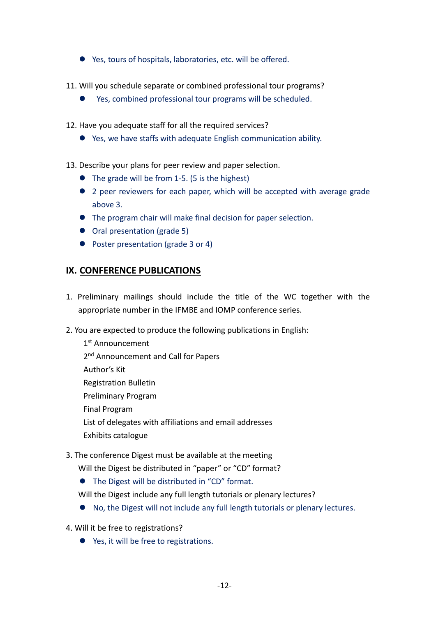- Yes, tours of hospitals, laboratories, etc. will be offered.
- 11. Will you schedule separate or combined professional tour programs?
	- Yes, combined professional tour programs will be scheduled.
- 12. Have you adequate staff for all the required services?
	- Yes, we have staffs with adequate English communication ability.
- 13. Describe your plans for peer review and paper selection.
	- The grade will be from 1-5. (5 is the highest)
	- 2 peer reviewers for each paper, which will be accepted with average grade above 3.
	- The program chair will make final decision for paper selection.
	- Oral presentation (grade 5)
	- Poster presentation (grade 3 or 4)

### <span id="page-11-0"></span>**IX. CONFERENCE PUBLICATIONS**

- 1. Preliminary mailings should include the title of the WC together with the appropriate number in the IFMBE and IOMP conference series.
- 2. You are expected to produce the following publications in English:

1<sup>st</sup> Announcement 2<sup>nd</sup> Announcement and Call for Papers Author's Kit Registration Bulletin Preliminary Program Final Program List of delegates with affiliations and email addresses Exhibits catalogue

- 3. The conference Digest must be available at the meeting Will the Digest be distributed in "paper" or "CD" format?
	- The Digest will be distributed in "CD" format.
	- Will the Digest include any full length tutorials or plenary lectures?
	- No, the Digest will not include any full length tutorials or plenary lectures.
- 4. Will it be free to registrations?
	- Yes, it will be free to registrations.